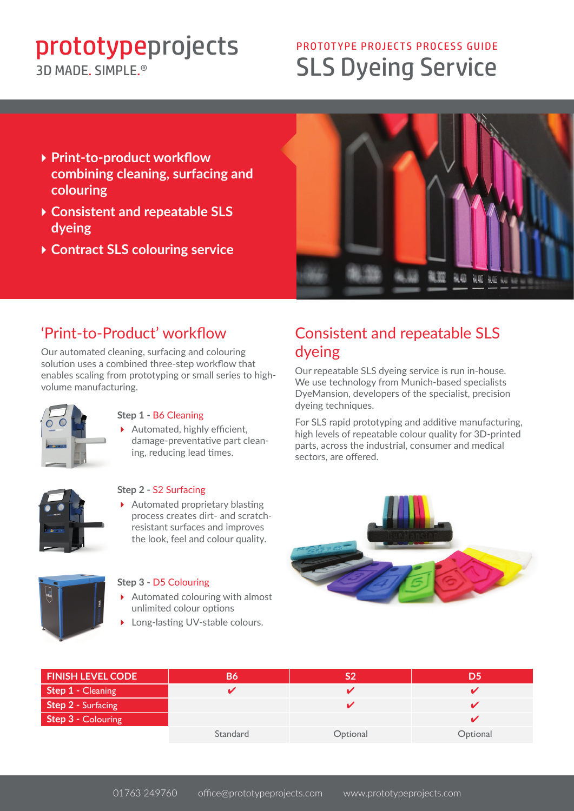# prototypeprojects

### 3D MADE SIMPLE<sup>®</sup>

## SLS Dyeing Service PROTOTYPE PROJECTS PROCESS GUIDE

- 4**Print-to-product workflow combining cleaning, surfacing and colouring**
- 4**Consistent and repeatable SLS dyeing**
- 4**Contract SLS colouring service**



### 'Print-to-Product' workflow

Our automated cleaning, surfacing and colouring solution uses a combined three-step workflow that enables scaling from prototyping or small series to highvolume manufacturing.



#### **Step 1 -** B6 Cleaning

▶ Automated, highly efficient, damage-preventative part cleaning, reducing lead times.



### **Step 2 -** S2 Surfacing

 $\blacktriangleright$  Automated proprietary blasting process creates dirt- and scratchresistant surfaces and improves the look, feel and colour quality.

### **Step 3 -** D5 Colouring

- $\blacktriangleright$  Automated colouring with almost unlimited colour options
- Long-lasting UV-stable colours.

### Consistent and repeatable SLS dyeing

Our repeatable SLS dyeing service is run in-house. We use technology from Munich-based specialists DyeMansion, developers of the specialist, precision dyeing techniques.

For SLS rapid prototyping and additive manufacturing, high levels of repeatable colour quality for 3D-printed parts, across the industrial, consumer and medical sectors, are offered.



| <b>FINISH LEVEL CODE</b>  | <b>B6</b> |          | D5       |
|---------------------------|-----------|----------|----------|
| <b>Step 1 - Cleaning</b>  |           |          |          |
| <b>Step 2 - Surfacing</b> |           |          |          |
| <b>Step 3 - Colouring</b> |           |          |          |
|                           | Standard  | Optional | Optional |